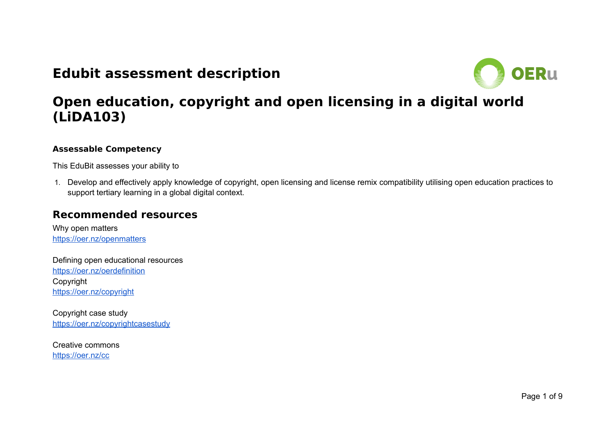### **Edubit assessment description**



# **Open education, copyright and open licensing in a digital world (LiDA103)**

#### **Assessable Competency**

This EduBit assesses your ability to

1. Develop and effectively apply knowledge of copyright, open licensing and license remix compatibility utilising open education practices to support tertiary learning in a global digital context.

### **Recommended resources**

Why open matters <https://oer.nz/openmatters>

Defining open educational resources <https://oer.nz/oerdefinition> Copyright <https://oer.nz/copyright>

Copyright case study <https://oer.nz/copyrightcasestudy>

Creative commons <https://oer.nz/cc>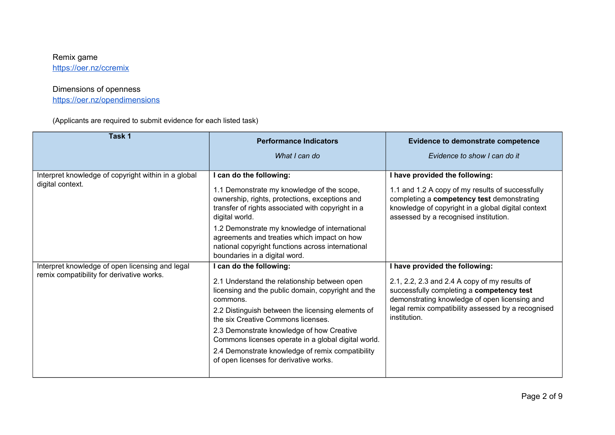#### Remix game <https://oer.nz/ccremix>

#### Dimensions of openness <https://oer.nz/opendimensions>

(Applicants are required to submit evidence for each listed task)

| Task 1                                                                                       | <b>Performance Indicators</b><br>What I can do                                                                                                                                                                                                                                                                                                                                                                                         | <b>Evidence to demonstrate competence</b><br>Evidence to show I can do it                                                                                                                                                                           |
|----------------------------------------------------------------------------------------------|----------------------------------------------------------------------------------------------------------------------------------------------------------------------------------------------------------------------------------------------------------------------------------------------------------------------------------------------------------------------------------------------------------------------------------------|-----------------------------------------------------------------------------------------------------------------------------------------------------------------------------------------------------------------------------------------------------|
| Interpret knowledge of copyright within in a global<br>digital context.                      | I can do the following:<br>1.1 Demonstrate my knowledge of the scope,<br>ownership, rights, protections, exceptions and<br>transfer of rights associated with copyright in a<br>digital world.<br>1.2 Demonstrate my knowledge of international<br>agreements and treaties which impact on how<br>national copyright functions across international<br>boundaries in a digital word.                                                   | I have provided the following:<br>1.1 and 1.2 A copy of my results of successfully<br>completing a competency test demonstrating<br>knowledge of copyright in a global digital context<br>assessed by a recognised institution.                     |
| Interpret knowledge of open licensing and legal<br>remix compatibility for derivative works. | I can do the following:<br>2.1 Understand the relationship between open<br>licensing and the public domain, copyright and the<br>commons.<br>2.2 Distinguish between the licensing elements of<br>the six Creative Commons licenses.<br>2.3 Demonstrate knowledge of how Creative<br>Commons licenses operate in a global digital world.<br>2.4 Demonstrate knowledge of remix compatibility<br>of open licenses for derivative works. | I have provided the following:<br>2.1, 2.2, 2.3 and 2.4 A copy of my results of<br>successfully completing a competency test<br>demonstrating knowledge of open licensing and<br>legal remix compatibility assessed by a recognised<br>institution. |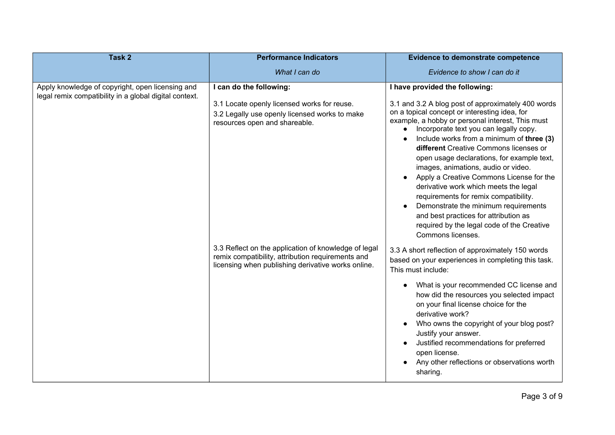| Task 2                                                                                                     | <b>Performance Indicators</b>                                                                                                                                   | <b>Evidence to demonstrate competence</b>                                                                                                                                                                                                                                                                                                                                                                                                                                                                                                                                                                                                                                                                                                |
|------------------------------------------------------------------------------------------------------------|-----------------------------------------------------------------------------------------------------------------------------------------------------------------|------------------------------------------------------------------------------------------------------------------------------------------------------------------------------------------------------------------------------------------------------------------------------------------------------------------------------------------------------------------------------------------------------------------------------------------------------------------------------------------------------------------------------------------------------------------------------------------------------------------------------------------------------------------------------------------------------------------------------------------|
|                                                                                                            | What I can do                                                                                                                                                   | Evidence to show I can do it                                                                                                                                                                                                                                                                                                                                                                                                                                                                                                                                                                                                                                                                                                             |
| Apply knowledge of copyright, open licensing and<br>legal remix compatibility in a global digital context. | I can do the following:<br>3.1 Locate openly licensed works for reuse.<br>3.2 Legally use openly licensed works to make<br>resources open and shareable.        | I have provided the following:<br>3.1 and 3.2 A blog post of approximately 400 words<br>on a topical concept or interesting idea, for<br>example, a hobby or personal interest, This must<br>Incorporate text you can legally copy.<br>$\bullet$<br>Include works from a minimum of three (3)<br>$\bullet$<br>different Creative Commons licenses or<br>open usage declarations, for example text,<br>images, animations, audio or video.<br>Apply a Creative Commons License for the<br>$\bullet$<br>derivative work which meets the legal<br>requirements for remix compatibility.<br>Demonstrate the minimum requirements<br>and best practices for attribution as<br>required by the legal code of the Creative<br>Commons licenses. |
|                                                                                                            | 3.3 Reflect on the application of knowledge of legal<br>remix compatibility, attribution requirements and<br>licensing when publishing derivative works online. | 3.3 A short reflection of approximately 150 words<br>based on your experiences in completing this task.<br>This must include:<br>What is your recommended CC license and<br>$\bullet$<br>how did the resources you selected impact<br>on your final license choice for the<br>derivative work?<br>Who owns the copyright of your blog post?<br>Justify your answer.<br>Justified recommendations for preferred<br>$\bullet$<br>open license.<br>Any other reflections or observations worth<br>sharing.                                                                                                                                                                                                                                  |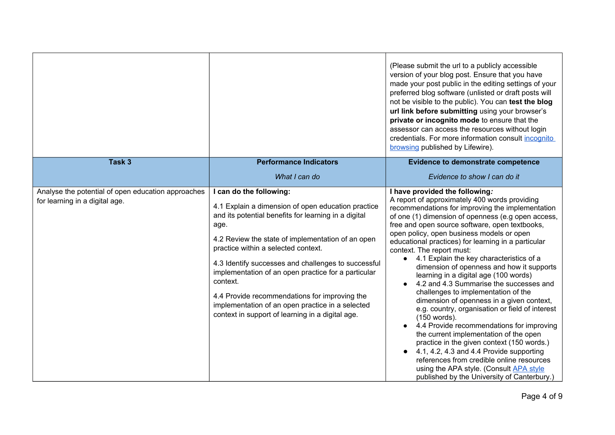|                                                                                      |                                                                                                                                                                                                                                                                                                                                                                                                                                                                                                                              | (Please submit the url to a publicly accessible<br>version of your blog post. Ensure that you have<br>made your post public in the editing settings of your<br>preferred blog software (unlisted or draft posts will<br>not be visible to the public). You can test the blog<br>url link before submitting using your browser's<br>private or incognito mode to ensure that the<br>assessor can access the resources without login<br>credentials. For more information consult incognito<br>browsing published by Lifewire).                                                                                                                                                                                                                                                                                                                                                                                                                                                                                                            |
|--------------------------------------------------------------------------------------|------------------------------------------------------------------------------------------------------------------------------------------------------------------------------------------------------------------------------------------------------------------------------------------------------------------------------------------------------------------------------------------------------------------------------------------------------------------------------------------------------------------------------|------------------------------------------------------------------------------------------------------------------------------------------------------------------------------------------------------------------------------------------------------------------------------------------------------------------------------------------------------------------------------------------------------------------------------------------------------------------------------------------------------------------------------------------------------------------------------------------------------------------------------------------------------------------------------------------------------------------------------------------------------------------------------------------------------------------------------------------------------------------------------------------------------------------------------------------------------------------------------------------------------------------------------------------|
| Task 3                                                                               | <b>Performance Indicators</b>                                                                                                                                                                                                                                                                                                                                                                                                                                                                                                | <b>Evidence to demonstrate competence</b>                                                                                                                                                                                                                                                                                                                                                                                                                                                                                                                                                                                                                                                                                                                                                                                                                                                                                                                                                                                                |
|                                                                                      | What I can do                                                                                                                                                                                                                                                                                                                                                                                                                                                                                                                | Evidence to show I can do it                                                                                                                                                                                                                                                                                                                                                                                                                                                                                                                                                                                                                                                                                                                                                                                                                                                                                                                                                                                                             |
| Analyse the potential of open education approaches<br>for learning in a digital age. | I can do the following:<br>4.1 Explain a dimension of open education practice<br>and its potential benefits for learning in a digital<br>age.<br>4.2 Review the state of implementation of an open<br>practice within a selected context.<br>4.3 Identify successes and challenges to successful<br>implementation of an open practice for a particular<br>context.<br>4.4 Provide recommendations for improving the<br>implementation of an open practice in a selected<br>context in support of learning in a digital age. | I have provided the following:<br>A report of approximately 400 words providing<br>recommendations for improving the implementation<br>of one (1) dimension of openness (e.g open access,<br>free and open source software, open textbooks,<br>open policy, open business models or open<br>educational practices) for learning in a particular<br>context. The report must:<br>4.1 Explain the key characteristics of a<br>dimension of openness and how it supports<br>learning in a digital age (100 words)<br>4.2 and 4.3 Summarise the successes and<br>challenges to implementation of the<br>dimension of openness in a given context,<br>e.g. country, organisation or field of interest<br>(150 words).<br>4.4 Provide recommendations for improving<br>the current implementation of the open<br>practice in the given context (150 words.)<br>4.1, 4.2, 4.3 and 4.4 Provide supporting<br>references from credible online resources<br>using the APA style. (Consult APA style<br>published by the University of Canterbury.) |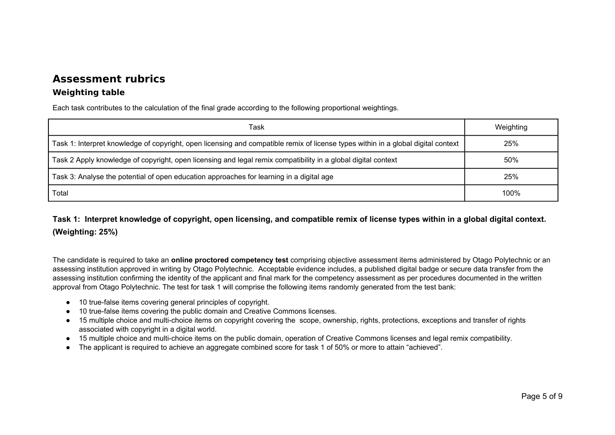# **Assessment rubrics**

#### **Weighting table**

Each task contributes to the calculation of the final grade according to the following proportional weightings.

| Task                                                                                                                              | Weighting |
|-----------------------------------------------------------------------------------------------------------------------------------|-----------|
| Task 1: Interpret knowledge of copyright, open licensing and compatible remix of license types within in a global digital context | 25%       |
| Task 2 Apply knowledge of copyright, open licensing and legal remix compatibility in a global digital context                     | 50%       |
| Task 3: Analyse the potential of open education approaches for learning in a digital age                                          | 25%       |
| Total                                                                                                                             | 100%      |

**Task 1: Interpret knowledge of copyright, open licensing, and compatible remix of license types within in a global digital context. (Weighting: 25%)**

The candidate is required to take an **online proctored competency test** comprising objective assessment items administered by Otago Polytechnic or an assessing institution approved in writing by Otago Polytechnic. Acceptable evidence includes, a published digital badge or secure data transfer from the assessing institution confirming the identity of the applicant and final mark for the competency assessment as per procedures documented in the written approval from Otago Polytechnic. The test for task 1 will comprise the following items randomly generated from the test bank:

- 10 true-false items covering general principles of copyright.
- 10 true-false items covering the public domain and Creative Commons licenses.
- 15 multiple choice and multi-choice items on copyright covering the scope, ownership, rights, protections, exceptions and transfer of rights associated with copyright in a digital world.
- 15 multiple choice and multi-choice items on the public domain, operation of Creative Commons licenses and legal remix compatibility.
- The applicant is required to achieve an aggregate combined score for task 1 of 50% or more to attain "achieved".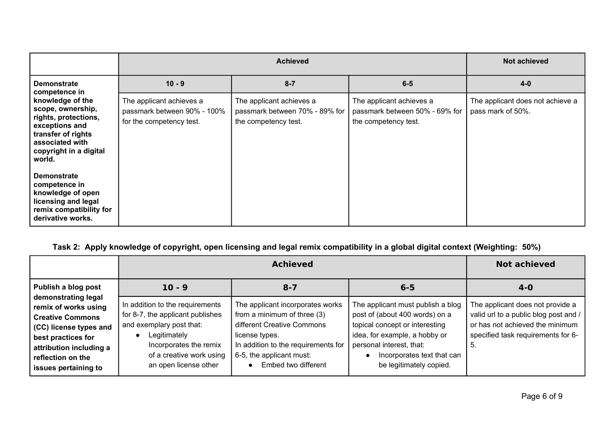|                                                                                                                                                              | <b>Achieved</b>                                                                     |                                                                                    |                                                                                    | Not achieved                                          |
|--------------------------------------------------------------------------------------------------------------------------------------------------------------|-------------------------------------------------------------------------------------|------------------------------------------------------------------------------------|------------------------------------------------------------------------------------|-------------------------------------------------------|
| <b>Demonstrate</b><br>competence in                                                                                                                          | $10 - 9$                                                                            | $8 - 7$                                                                            | $6-5$                                                                              | $4-0$                                                 |
| knowledge of the<br>scope, ownership,<br>rights, protections,<br>exceptions and<br>transfer of rights<br>associated with<br>copyright in a digital<br>world. | The applicant achieves a<br>passmark between 90% - 100%<br>for the competency test. | The applicant achieves a<br>passmark between 70% - 89% for<br>the competency test. | The applicant achieves a<br>passmark between 50% - 69% for<br>the competency test. | The applicant does not achieve a<br>pass mark of 50%. |
| <b>Demonstrate</b><br>competence in<br>knowledge of open<br>licensing and legal<br>remix compatibility for<br>derivative works.                              |                                                                                     |                                                                                    |                                                                                    |                                                       |

### **Task 2: Apply knowledge of copyright, open licensing and legal remix compatibility in a global digital context (Weighting: 50%)**

|                                                                                                                                                                                                | <b>Achieved</b>                                                                                                                                                                                             |                                                                                                                                                                                                           |                                                                                                                                                                                                                             | <b>Not achieved</b>                                                                                                                                      |
|------------------------------------------------------------------------------------------------------------------------------------------------------------------------------------------------|-------------------------------------------------------------------------------------------------------------------------------------------------------------------------------------------------------------|-----------------------------------------------------------------------------------------------------------------------------------------------------------------------------------------------------------|-----------------------------------------------------------------------------------------------------------------------------------------------------------------------------------------------------------------------------|----------------------------------------------------------------------------------------------------------------------------------------------------------|
| Publish a blog post                                                                                                                                                                            | $10 - 9$                                                                                                                                                                                                    | $8 - 7$                                                                                                                                                                                                   | $6 - 5$                                                                                                                                                                                                                     | $4 - 0$                                                                                                                                                  |
| demonstrating legal<br>remix of works using<br><b>Creative Commons</b><br>(CC) license types and<br>best practices for<br>attribution including a<br>reflection on the<br>issues pertaining to | In addition to the requirements<br>for 8-7, the applicant publishes<br>and exemplary post that:<br>Legitimately<br>$\bullet$<br>Incorporates the remix<br>of a creative work using<br>an open license other | The applicant incorporates works<br>from a minimum of three (3)<br>different Creative Commons<br>license types.<br>In addition to the requirements for<br>6-5, the applicant must:<br>Embed two different | The applicant must publish a blog<br>post of (about 400 words) on a<br>topical concept or interesting<br>idea, for example, a hobby or<br>personal interest, that:<br>Incorporates text that can<br>be legitimately copied. | The applicant does not provide a<br>valid url to a public blog post and /<br>or has not achieved the minimum<br>specified task requirements for 6-<br>G. |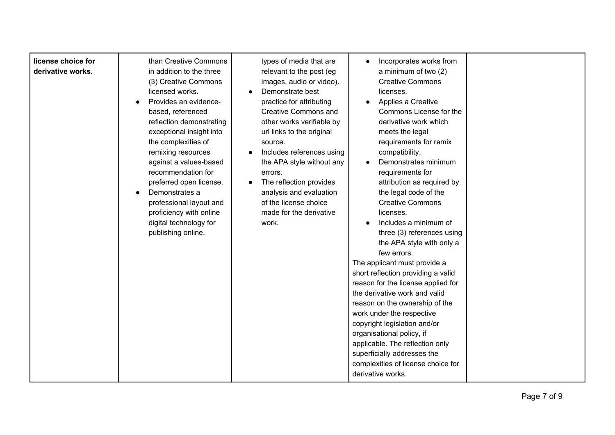| license choice for<br>derivative works. | than Creative Commons<br>in addition to the three<br>(3) Creative Commons<br>licensed works.<br>Provides an evidence-<br>based, referenced<br>reflection demonstrating<br>exceptional insight into<br>the complexities of<br>remixing resources<br>against a values-based<br>recommendation for<br>preferred open license.<br>Demonstrates a<br>professional layout and<br>proficiency with online<br>digital technology for<br>publishing online. | types of media that are<br>relevant to the post (eg<br>images, audio or video).<br>Demonstrate best<br>practice for attributing<br><b>Creative Commons and</b><br>other works verifiable by<br>url links to the original<br>source.<br>Includes references using<br>the APA style without any<br>errors.<br>The reflection provides<br>analysis and evaluation<br>of the license choice<br>made for the derivative<br>work. | Incorporates works from<br>a minimum of two (2)<br><b>Creative Commons</b><br>licenses.<br>Applies a Creative<br>Commons License for the<br>derivative work which<br>meets the legal<br>requirements for remix<br>compatibility.<br>Demonstrates minimum<br>requirements for<br>attribution as required by<br>the legal code of the<br><b>Creative Commons</b><br>licenses.<br>Includes a minimum of<br>three (3) references using<br>the APA style with only a<br>few errors.<br>The applicant must provide a<br>short reflection providing a valid<br>reason for the license applied for<br>the derivative work and valid<br>reason on the ownership of the<br>work under the respective<br>copyright legislation and/or<br>organisational policy, if<br>applicable. The reflection only<br>superficially addresses the<br>complexities of license choice for<br>derivative works. |  |
|-----------------------------------------|----------------------------------------------------------------------------------------------------------------------------------------------------------------------------------------------------------------------------------------------------------------------------------------------------------------------------------------------------------------------------------------------------------------------------------------------------|-----------------------------------------------------------------------------------------------------------------------------------------------------------------------------------------------------------------------------------------------------------------------------------------------------------------------------------------------------------------------------------------------------------------------------|--------------------------------------------------------------------------------------------------------------------------------------------------------------------------------------------------------------------------------------------------------------------------------------------------------------------------------------------------------------------------------------------------------------------------------------------------------------------------------------------------------------------------------------------------------------------------------------------------------------------------------------------------------------------------------------------------------------------------------------------------------------------------------------------------------------------------------------------------------------------------------------|--|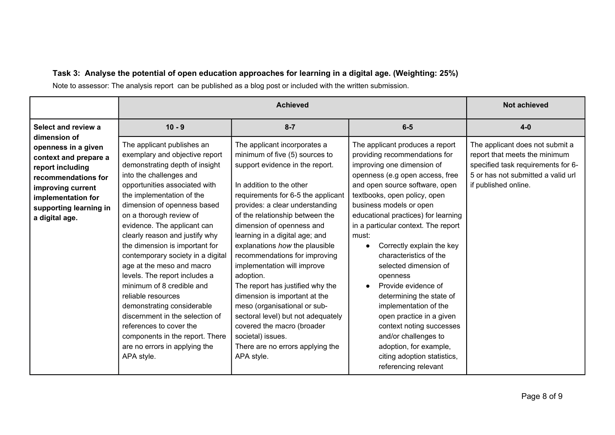#### **Task 3: Analyse the potential of open education approaches for learning in a digital age. (Weighting: 25%)**

Note to assessor: The analysis report can be published as a blog post or included with the written submission.

|                                                                                                                                                                                | <b>Achieved</b>                                                                                                                                                                                                                                                                                                                                                                                                                                                                                                                                                                                                                                                                          |                                                                                                                                                                                                                                                                                                                                                                                                                                                                                                                                                                                                                                                                         |                                                                                                                                                                                                                                                                                                                                                                                                                                                                                                                                                                                                                                                                             | <b>Not achieved</b>                                                                                                                                                  |
|--------------------------------------------------------------------------------------------------------------------------------------------------------------------------------|------------------------------------------------------------------------------------------------------------------------------------------------------------------------------------------------------------------------------------------------------------------------------------------------------------------------------------------------------------------------------------------------------------------------------------------------------------------------------------------------------------------------------------------------------------------------------------------------------------------------------------------------------------------------------------------|-------------------------------------------------------------------------------------------------------------------------------------------------------------------------------------------------------------------------------------------------------------------------------------------------------------------------------------------------------------------------------------------------------------------------------------------------------------------------------------------------------------------------------------------------------------------------------------------------------------------------------------------------------------------------|-----------------------------------------------------------------------------------------------------------------------------------------------------------------------------------------------------------------------------------------------------------------------------------------------------------------------------------------------------------------------------------------------------------------------------------------------------------------------------------------------------------------------------------------------------------------------------------------------------------------------------------------------------------------------------|----------------------------------------------------------------------------------------------------------------------------------------------------------------------|
| Select and review a<br>dimension of                                                                                                                                            | $10 - 9$                                                                                                                                                                                                                                                                                                                                                                                                                                                                                                                                                                                                                                                                                 | $8 - 7$                                                                                                                                                                                                                                                                                                                                                                                                                                                                                                                                                                                                                                                                 | $6-5$                                                                                                                                                                                                                                                                                                                                                                                                                                                                                                                                                                                                                                                                       | $4-0$                                                                                                                                                                |
| openness in a given<br>context and prepare a<br>report including<br>recommendations for<br>improving current<br>implementation for<br>supporting learning in<br>a digital age. | The applicant publishes an<br>exemplary and objective report<br>demonstrating depth of insight<br>into the challenges and<br>opportunities associated with<br>the implementation of the<br>dimension of openness based<br>on a thorough review of<br>evidence. The applicant can<br>clearly reason and justify why<br>the dimension is important for<br>contemporary society in a digital<br>age at the meso and macro<br>levels. The report includes a<br>minimum of 8 credible and<br>reliable resources<br>demonstrating considerable<br>discernment in the selection of<br>references to cover the<br>components in the report. There<br>are no errors in applying the<br>APA style. | The applicant incorporates a<br>minimum of five (5) sources to<br>support evidence in the report.<br>In addition to the other<br>requirements for 6-5 the applicant<br>provides: a clear understanding<br>of the relationship between the<br>dimension of openness and<br>learning in a digital age; and<br>explanations how the plausible<br>recommendations for improving<br>implementation will improve<br>adoption.<br>The report has justified why the<br>dimension is important at the<br>meso (organisational or sub-<br>sectoral level) but not adequately<br>covered the macro (broader<br>societal) issues.<br>There are no errors applying the<br>APA style. | The applicant produces a report<br>providing recommendations for<br>improving one dimension of<br>openness (e.g open access, free<br>and open source software, open<br>textbooks, open policy, open<br>business models or open<br>educational practices) for learning<br>in a particular context. The report<br>must:<br>Correctly explain the key<br>$\bullet$<br>characteristics of the<br>selected dimension of<br>openness<br>Provide evidence of<br>determining the state of<br>implementation of the<br>open practice in a given<br>context noting successes<br>and/or challenges to<br>adoption, for example,<br>citing adoption statistics,<br>referencing relevant | The applicant does not submit a<br>report that meets the minimum<br>specified task requirements for 6-<br>5 or has not submitted a valid url<br>if published online. |